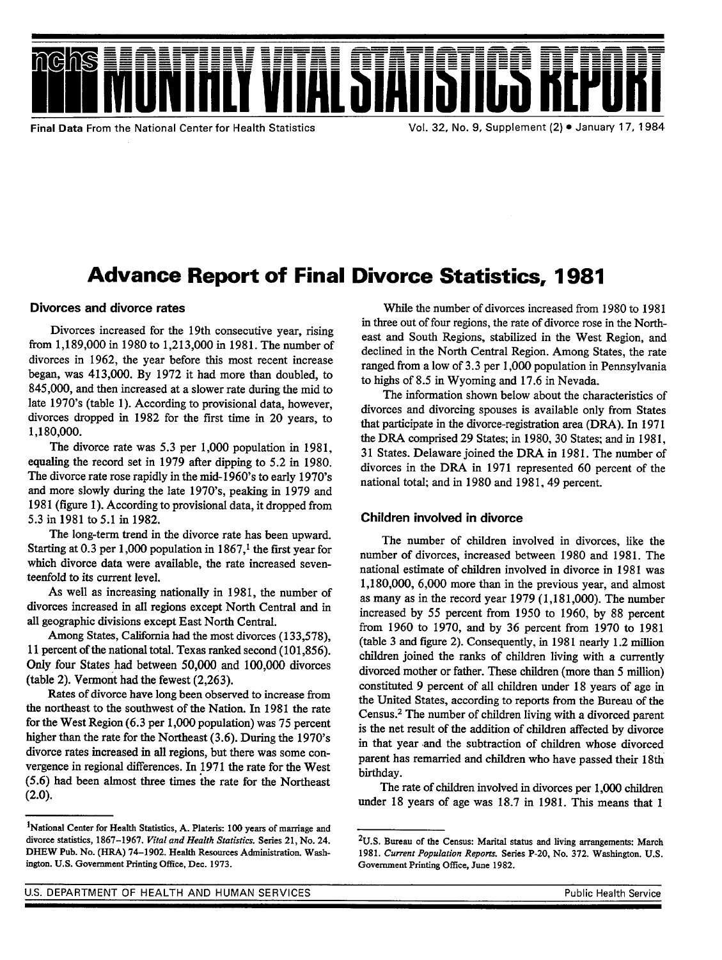

Final Data From the National Center for Health Statistics Vol. 32, No. 9, Supplement (2) • January 17, 1984

# Advance Report of Final Divorce Statistics, 1981

## Divorces and divorce rates

Divorces increased for the 19th consecutive year, rising from 1,189,000 in 1980 to 1,213,000 in 1981. The number of divorces in 1962, the year before this most recent increase began, was 413,000. By 1972 it had more than doubled, to 845,000, and then increased at a slower rate during the mid to late 1970's (table 1). According to provisional data, however, divorces dropped in 1982 for the first time in 20 years, to 1,180,000.

The divorce rate was 5.3 per 1,000 population in 1981, equaling the record set in 1979 after dipping to 5.2 in 1980. The divorce rate rose rapidly in the mid-1960's to early 1970's and more slowly during the late 1970's, peaking in 1979 and 1981 (figure 1). According to provisional data, it dropped from 5.3 in 1981 to 5.1 in 1982.

The long-term trend in the divorce rate has been upward. Starting at 0.3 per 1,000 population in  $1867$ ,<sup>1</sup> the first year for which divorce data were available, the rate increased seventeenfold to its current level.

As well as increasing nationally in 1981, the number of divorces increased in all regions except North Central and in all geographic divisions except East North Central.

Among States, California had the most divorces (133,578), 11 percent of the national total. Texas ranked second (101,856). Oniy four States had between 50,000 and 100,000 divorces (table 2). Vermont had the fewest (2,263).

Rates of divorce have long been observed to increase from the northeast to the southwest of the Nation. In 1981 the rate for the West Region (6.3 per 1,000 population) was 75 percent higher than the rate for the Northeast (3.6). During the 1970's divorce rates increased in all regions, but there was some convergence in regional differences. In 1971 the rate for the West  $(5.6)$  had been almost three times the rate for the Northeast **(2.0).**

While the number of divorces increased from 1980 to 1981 in three out of four regions, the rate of divorce rose in the Northeast and South Regions, stabilized in the West Region, and declined in the North Central Region. Among States, the rate ranged from a low of 3.3 per 1,000 population in Pennsylvania to highs of 8.5 in Wyoming and 17.6 in Nevada.

The information shown below about the characteristics of divorces and divorcing spouses is available only from States that participate in the divorce-registration area (DRA). In 1971 the DRA comprised 29 States; in 1980, 30 States; and in 1981, 31 States. Delaware joined the DRA in 1981. The number of divorces in the DFL4 in 1971 represented 60 percent of the national total; and in 1980 and 1981, 49 percent.

## Children involved in divorce

The number of children involved in divorces, like the number of divorces, increased between 1980 and 1981. The national estimate of children involved in divorce in 1981 was 1,180,000, 6,000 more than in the previous year, and almost as many as in the record year 1979 (1,181,000). The number increased by 55 percent from 1950 to 1960, by 88 percent from 1960 to 1970, and by 36 percent from 1970 to 1981 (table 3 and figure 2). Consequently, in 1981 nearly 1.2 million children joined the ranks of children living with a currently divorced mother or father. These children (more than 5 million) constituted 9 percent of all children under 18 years of age in the United States, according to reports from the Bureau of the Census.<sup>2</sup> The number of children living with a divorced parent is the net result of the addition of children affected by divorce in that year and the subtraction of children whose divorced parent has remarried and children who have passed their 18th birthday.

The rate of children involved in divorces per 1,000 children under 18 years of age was 18.7 in 1981. This means that 1

**<sup>&#</sup>x27;National Center for Health Statistics, A. Plateris: 100 years of marriage and divorce statistics, 1867-1967.** *Vital and Health Statistics. Series 21, No. 24.* **DHEW Pub. No. (HRA) 74– 1902. Health Resources Administration. Washington.U.S. Government Printing Office, Dec. 1973.**

<sup>2</sup>u.s. Bureau **of tie Census Marital status and living arrangements Mach 1981.** *Current Population Reports. Series P-20, No. 372.* **Washington. U.S. Government Printing Office, June 1982.**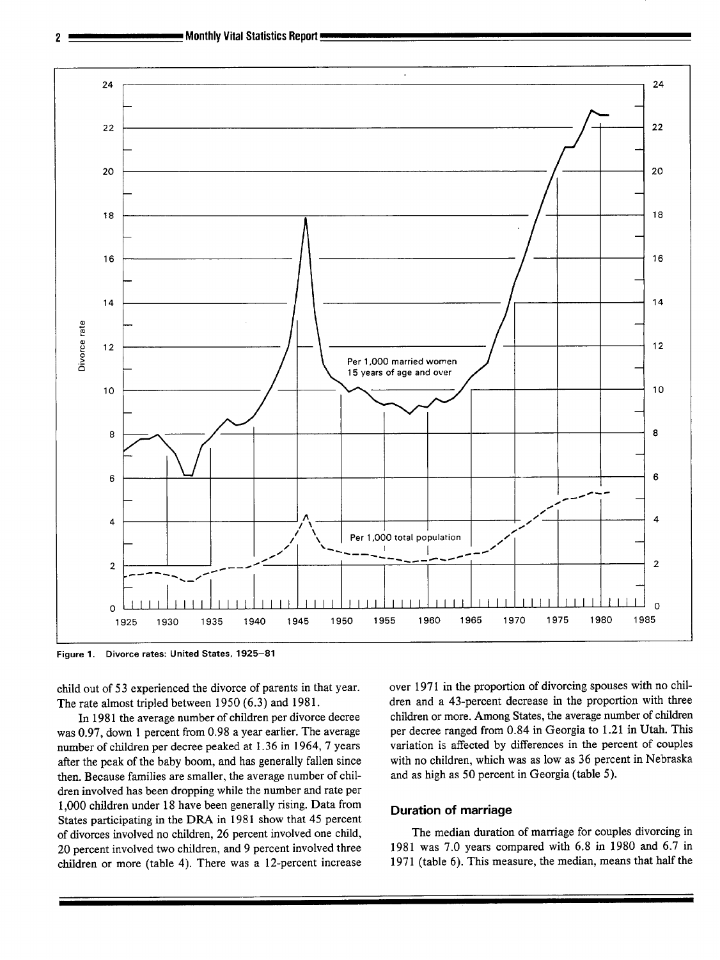

**Figure 1. Divorce rates: United States, 1925–81**

child out of 53 experienced the divorce of parents in that year. The rate almost tripled between 1950 (6.3) and 1981.

In 1981 the average number of children per divorce decree was 0.97, down 1 percent from 0.98 a year earlier. The average number of children per decree peaked at 1.36 in 1964, 7 years after the peak of the baby boom, and has generally fallen since then. Because families are smaller, the average number of children involved has been dropping while the number and rate per 1,000 children under 18 have been generally rising. Data from States participating in the DRA in 1981 show that 45 percent of divorces involved no children, 26 percent involved one child, 20 percent involved two children, and 9 percent involved three children or more (table 4). There was a 12-percent increase over 1971 in the proportion of divorcing spouses with no children and a 43-percent decrease in the proportion with three children or more. Among States, the average number of children per decree ranged from 0.84 in Georgia to 1.21 in Utah. This variation is affected by differences in the percent of couples with no children, which was as low as 36 percent in Nebraska and as high as 50 percent in Georgia (table 5).

## **Duration of marriage**

The median duration of marriage for couples divorcing in 1981 was 7.0 years compared with 6.8 in 1980 and 6.7 in 1971 (table 6). This measure, the median, means that half the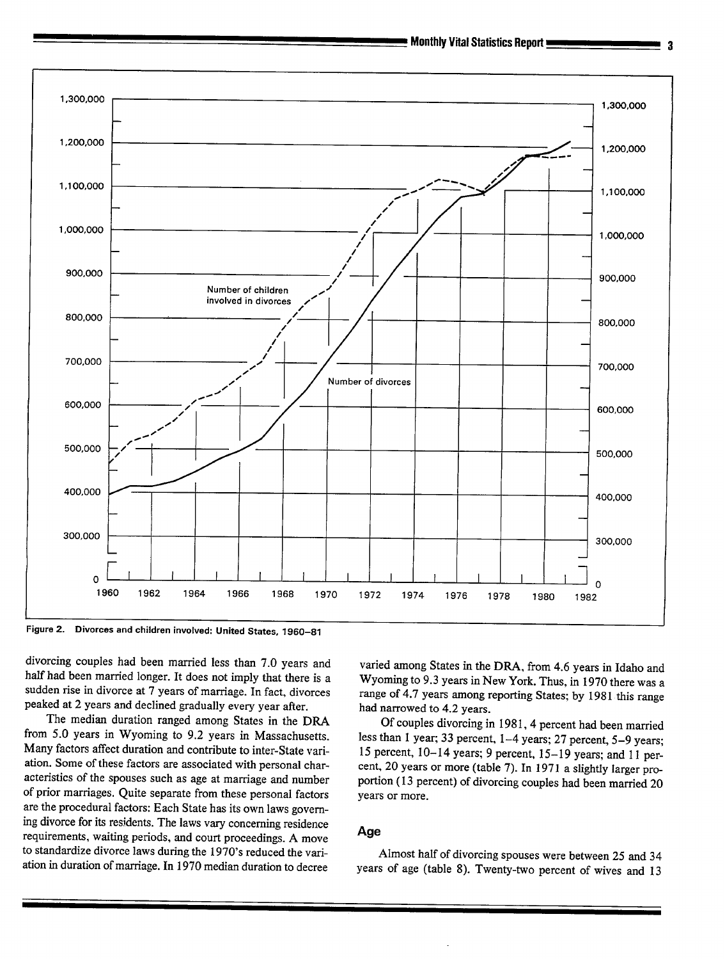

Figure 2. Divorces and children involved: United States, 1960-81

divorcing couples had been married less than 7.0 years and haIf had been married longer. It does not imply that there is a sudden rise in divorce at 7 years of marriage. In fact, divorces peaked at 2 years and declined gradually every year after.

The median duration ranged among States in the DRA from 5.0 years in Wyoming to 9.2 years in Massachusetts. Many factors affect duration and contribute to inter-State variation. Some of these factors are associated with personal characteristics of the spouses such as age at marriage and number of prior marriages. Quite separate from these personal factors are the procedural factors: Each State has its own laws governing divorce for its residents. The laws vary concerning residence requirements, waiting periods, and court proceedings. A move to standardize divorce laws during the 1970's reduced the variation in duration of marriage. In 1970 median duration to decree

varied among States in the DRA, from 4.6 years in Idaho and Wyoming to 9.3 years in New York. Thus, in 1970 there was a range of 4.7 years among reporting States; by 1981 this range had narrowed to 4.2 years.

Of couples divorcing in 1981, 4 percent had been married less than 1 year; 33 percent, 1-4 years; 27 percent, 5-9 years; 15 percent, 10-14 years; 9 percent, 15– 19 years; and 11 percent, 20 years or more (table 7). In 1971 a slightly larger proportion (13 percent) of divorcing couples had been married 20 years or more.

### Age

Almost half of divorcing spouses were between 25 and 34 years of age (table 8). Twenty-two percent of wives and 13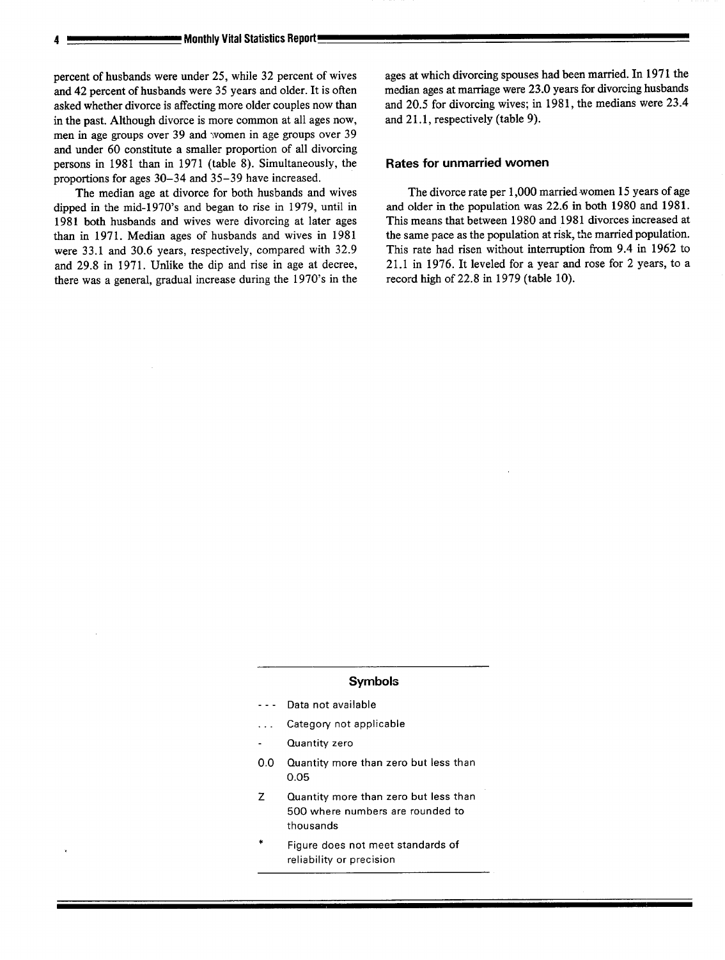percent of husbands were under 25, while 32 percent of wives and 42 percent of husbands were 35 years and older. It is often asked whether divorce is affecting more older couples now than in the past. Although divorce is more common at all ages now, men in age groups over 39 and women in age groups over 39 and under 60 constitute a smaller proportion of all divorcing persons in 1981 than in 1971 (table 8). Simultaneously, the proportions for ages 30–34 and 35–39 have increased.

The median age at divorce for both husbands and wives dipped in the mid-1 970's and began to rise in 1979, until in 1981 both husbands and wives were divorcing at later ages than in 1971. Median ages of husbands and wives in 1981 were 33.1 and 30.6 years, respectively, compared with 32.9 and 29.8 in 1971. Unlike the dip and rise in age at decree, there was a general, gradual increase during the 1970's in the ages at which divorcing spouses had been married. In 1971 the median ages at marriage were 23.0 years for divorcing husbands and 20.5 for divorcing wives; in 1981, the medians were 23.4 and 21.1, respectively (table 9).

### Rates for unmarried women

The divorce rate per 1,000 married women 15 years of age and older in the population was 22.6 in both 1980 and 1981. This means that between 1980 and 1981 divorces increased at the same pace as the population at risk, the married population. This rate had risen without interruption from 9.4 in 1962 to 21.1 in 1976. It leveled for a year and rose for 2 years, to a record high of 22.8 in 1979 (table 10).

### Symbols

- . . . **Data not available**
- . . . **Category not applicable**
- **Quantity zero**
- **0.0 Quantity more than zero but less than** 0.05
- **z Quantity more than zero but less than 500 where numbers are rounded to thousands**
- \* **Figure does not meet standards of reliability or precision**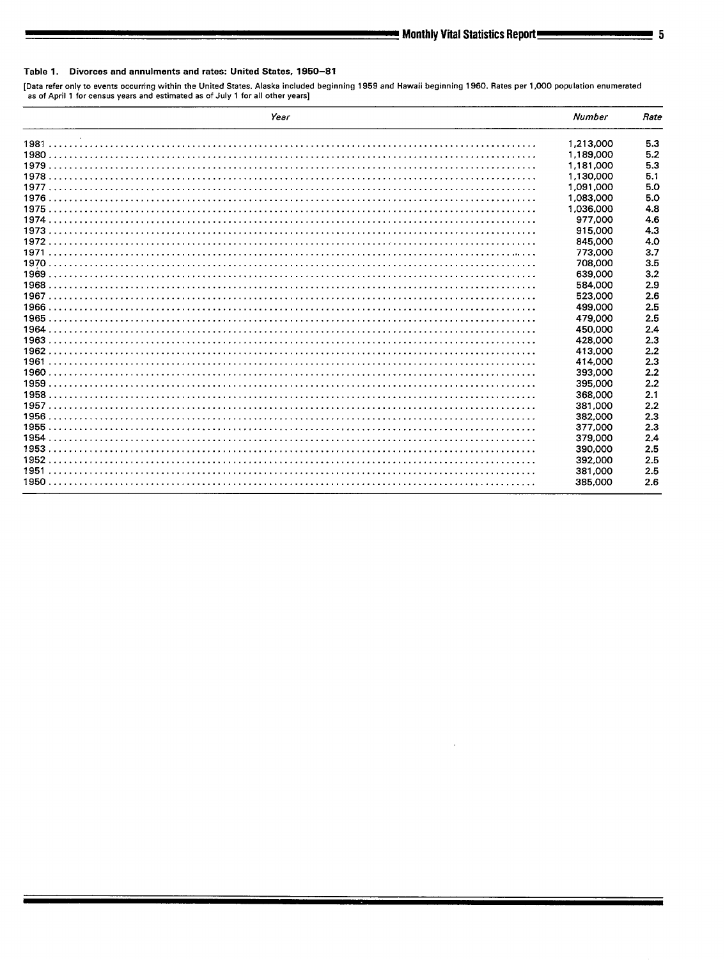## **Table 1. Divorces and annulments and ratea: United States, 1950-81**

[Data refer only to events occurring within the United States. Alaska included beginning 1959 and Hawaii beginning 1960. Rates per 1,000 population enumerated **aa of April 1 for census years and estimatad as of July 1 for all other years]**

| Year | <b>Number</b> | Rate |
|------|---------------|------|
|      | 1,213,000     | 5.3  |
|      | 1.189.000     | 5.2  |
|      | 1.181.000     | 5.3  |
|      | 1.130.000     | 5.1  |
|      | 1.091.000     | 5.0  |
|      | 1,083,000     | 5.0  |
|      | 1.036.000     | 4.8  |
|      | 977,000       | 4.6  |
|      | 915,000       | 4.3  |
|      | 845,000       | 4.0  |
|      | 773.000       | 3.7  |
|      | 708,000       | 3.5  |
|      | 639.000       | 3.2  |
|      | 584,000       | 2.9  |
|      | 523.000       | 2.6  |
|      | 499.000       | 2.5  |
|      | 479.000       | 2.5  |
|      | 450,000       | 2.4  |
|      | 428,000       | 2.3  |
|      | 413.000       | 2.2  |
|      | 414,000       | 2.3  |
|      | 393,000       | 2.2  |
|      | 395,000       | 2.2  |
|      | 368,000       | 2.1  |
|      | 381,000       | 2.2  |
|      | 382,000       | 2.3  |
|      | 377,000       | 2.3  |
|      | 379,000       | 2.4  |
|      | 390,000       | 2.5  |
|      | 392.000       | 2.5  |
|      | 381,000       | 2.5  |
|      | 385,000       | 2.6  |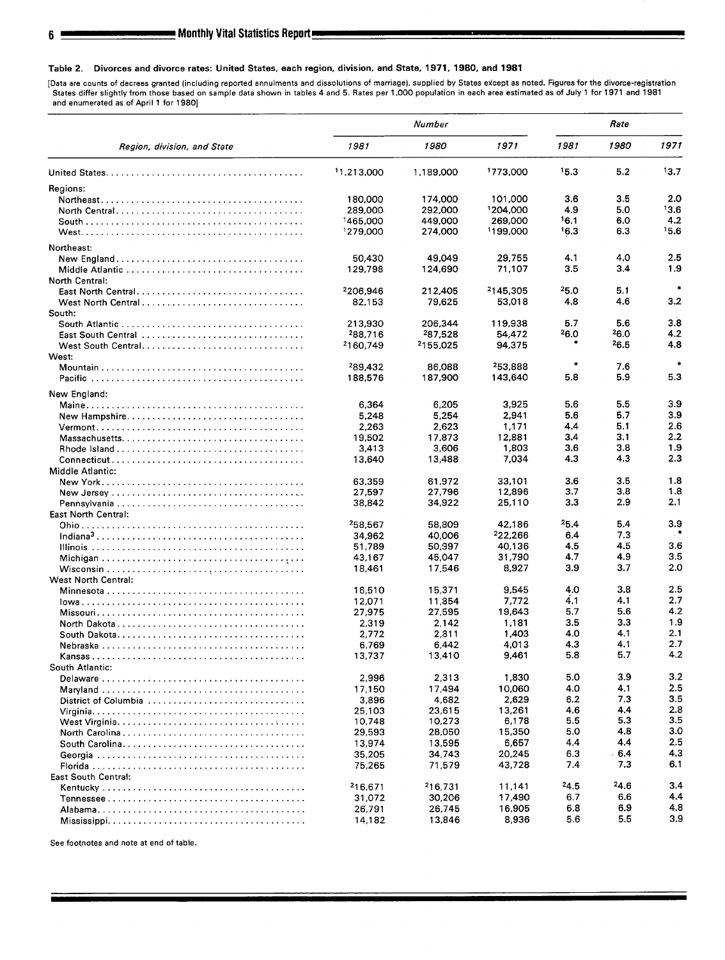## Table 2. Divorces and divorce rates: United States, each region, division, and State, 1971, 1980, and 1981

[Data are counts of decrees granted (including reported annulments and dissolutions of marriage), supplied by States except as noted. Figures for the divorce-registration States differ slightly from those based on sample data shown in tables 4 and 5. Rates per 1,000 population in each area estimated as of July 1 for 1971 and 1981 and enumerated as of April 1 for 1980]

|                                                                                                   |                     | Number    |          | Rate      |       |           |  |
|---------------------------------------------------------------------------------------------------|---------------------|-----------|----------|-----------|-------|-----------|--|
| Region, division, and State                                                                       | 1981                | 1980      | 1971     | 1981      | 1980  | 1971      |  |
|                                                                                                   | 11.213,000          | 1,189,000 | 1773,000 | 15.3      | 5.2   | 13.7      |  |
| Regions:                                                                                          |                     |           |          |           |       |           |  |
|                                                                                                   | 180,000             | 174,000   | 101,000  | 3.6       | 3.5   | 2.0       |  |
|                                                                                                   | 289,000             | 292,000   | 1204,000 | 4.9       | 5.0   | 13.6      |  |
|                                                                                                   | 1465,000            | 449,000   | 269,000  | 16.1      | 6.0   | 4.2       |  |
|                                                                                                   | 1279,000            | 274,000   | 199,000  | 16.3      | 6.3   | 15.6      |  |
| Northeast:                                                                                        |                     |           |          |           |       |           |  |
|                                                                                                   | 50,430              | 49.049    | 29,755   | 4.1       | 4.0   | 2.5       |  |
|                                                                                                   | 129,798             | 124,690   | 71,107   | 3.5       | 3.4   | 1.9       |  |
| North Central:                                                                                    |                     |           |          |           |       |           |  |
| East North Central                                                                                | 2206,946            | 212,405   | 2145.305 | 25.0      | 5.1   | $\bullet$ |  |
| West North Central                                                                                | 82.153              | 79,625    | 53,018   | 4.8       | 4.6   | 3.2       |  |
| South:                                                                                            |                     |           |          |           |       |           |  |
|                                                                                                   | 213,930             | 206,344   | 119,938  | 5.7       | 5.6   | 3.8       |  |
|                                                                                                   | 288,716             | 287,528   | 54,472   | $^{26.0}$ | 26.0  | 4.2       |  |
| East South Central                                                                                |                     |           |          |           | 26.5  | 4.8       |  |
|                                                                                                   | 2160,749            | 2155,025  | 94,375   |           |       |           |  |
| West:                                                                                             |                     |           |          | *         |       | $\ast$    |  |
|                                                                                                   | 289.432             | 86,088    | 253,888  |           | 7.6   |           |  |
|                                                                                                   | 188,576             | 187,900   | 143,640  | 5.8       | 5.9   | 5.3       |  |
| New England:                                                                                      |                     |           |          |           |       |           |  |
|                                                                                                   | 6.364               | 6,205     | 3.925    | 5.6       | 5.5   | 3.9       |  |
|                                                                                                   | 5,248               | 5.254     | 2.941    | 5.6       | 5.7   | 3.9       |  |
|                                                                                                   | 2,263               | 2.623     | 1.171    | 4.4       | 5.1   | 2.6       |  |
|                                                                                                   | 19,502              | 17,873    | 12,881   | 3.4       | 3.1   | 2.2       |  |
|                                                                                                   | 3.413               | 3,606     | 1,803    | 3.6       | 3.8   | 1.9       |  |
| $Connecticut \ldots \ldots \ldots \ldots \ldots \ldots \ldots \ldots \ldots \ldots \ldots \ldots$ | 13,640              | 13,488    | 7,034    | 4.3       | 4.3   | 2.3       |  |
| Middle Atlantic:                                                                                  |                     |           |          |           |       |           |  |
|                                                                                                   | 63,359              | 61,972    | 33,101   | 3.6       | 3.5   | 1.8       |  |
|                                                                                                   | 27,597              | 27,796    | 12,896   | 3.7       | 3.8   | 1.8       |  |
|                                                                                                   | 38,842              | 34,922    | 25,110   | 3.3       | 2.9   | 2.1       |  |
| East North Central:                                                                               |                     |           |          |           |       |           |  |
|                                                                                                   | 258,567             | 58,809    | 42,186   | 25.4      | 5.4   | 3.9       |  |
|                                                                                                   |                     |           | 222,266  | 6,4       | 7.3   | . *       |  |
|                                                                                                   | 34,962              | 40,006    |          |           |       | 3.6       |  |
|                                                                                                   | 51,789              | 50,997    | 40.136   | 4.5       | 4.5   |           |  |
|                                                                                                   | 43,167              | 45,047    | 31,790   | 4.7       | 4.9   | 3.5       |  |
|                                                                                                   | 18,461              | 17,546    | 8,927    | 3.9       | 3.7   | 2.0       |  |
| <b>West North Central:</b>                                                                        |                     |           |          |           |       |           |  |
|                                                                                                   | 16,510              | 15.371    | 9,545    | 4.0       | 3.8   | 2.5       |  |
|                                                                                                   | 12,071              | 11,854    | 7.772    | 4.1       | 4.1   | 2.7       |  |
|                                                                                                   | 27.975              | 27,595    | 19,643   | 5.7       | 5.6   | 4.2       |  |
|                                                                                                   | 2,319               | 2,142     | 1,181    | 3.5       | 3.3   | 1.9       |  |
|                                                                                                   | 2,772               | 2,811     | 1,403    | 4.0       | 4.1   | 2.1       |  |
|                                                                                                   | 6,769               | 6,442     | 4,013    | 4.3       | 4.1   | 2.7       |  |
|                                                                                                   | 13,737              | 13,410    | 9,461    | 5.8       | 5.7   | 4.2       |  |
| South Atlantic:                                                                                   |                     |           |          |           |       |           |  |
|                                                                                                   | 2,996               | 2,313     | 1.830    | 5.0       | 3.9   | 3.2       |  |
|                                                                                                   |                     | 17,494    | 10.060   | 4.0       | 4,1   | 2.5       |  |
|                                                                                                   | 17,150              |           |          |           | 7.3   | 3.5       |  |
|                                                                                                   | 3,896               | 4,682     | 2,629    | 6.2       |       |           |  |
|                                                                                                   | 25,103              | 23,615    | 13,261   | 4.6       | 4.4   | 2.8       |  |
|                                                                                                   | 10,748              | 10,273    | 6,178    | 5.5       | 5.3   | 3.5       |  |
|                                                                                                   | 29.593              | 28,050    | 15,350   | 5.0       | 4.8   | 3.0       |  |
|                                                                                                   | 13,974              | 13,595    | 6,657    | 4.4       | 4.4   | 2.5       |  |
|                                                                                                   | 35,205              | 34,743    | 20,245   | 6.3       | - 6.4 | 4.3       |  |
|                                                                                                   | 75,265              | 71.579    | 43,728   | 7.4       | 7.3   | 6.1       |  |
| <b>East South Central:</b>                                                                        |                     |           |          |           |       |           |  |
|                                                                                                   | <sup>2</sup> 16,671 | 216,731   | 11,141   | 24.5      | 24.6  | 3.4       |  |
|                                                                                                   | 31,072              | 30,206    | 17,490   | 6.7       | 6.6   | 4.4       |  |
|                                                                                                   | 26,791              | 26,745    | 16,905   | 6.8       | 6.9   | 4.8       |  |
|                                                                                                   | 14,182              | 13,846    | 8,936    | 5.6       | 5.5   | 3.9       |  |
|                                                                                                   |                     |           |          |           |       |           |  |

See footnotes and note at end of table.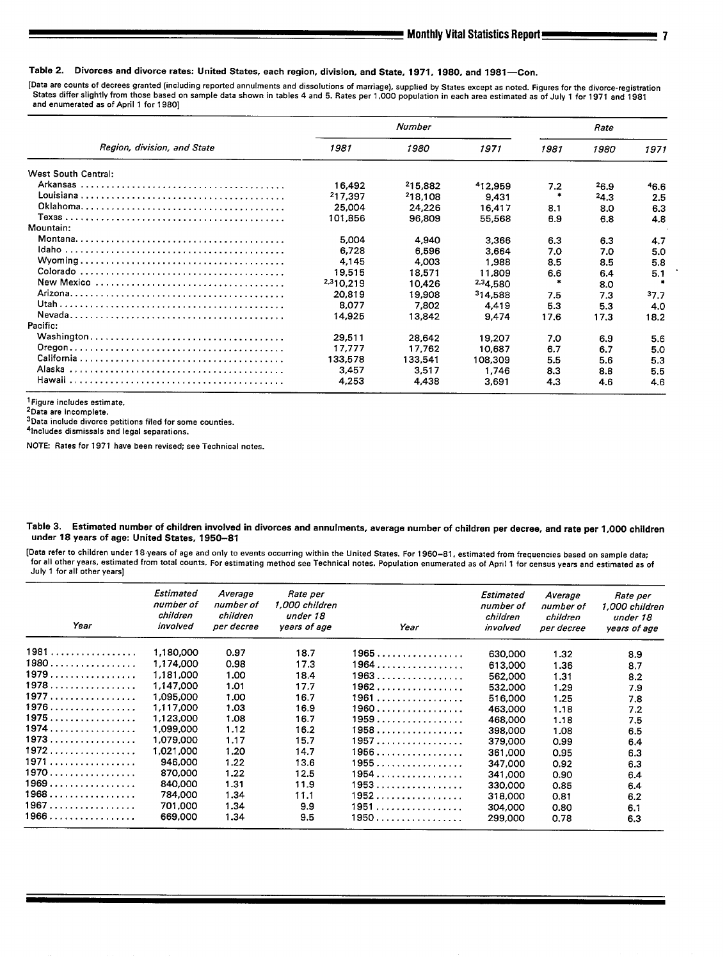## Table 2. Divorces and divorce ratas: United States, esch region, division, and State, 1971, 1980, and 1981—Con.

[Data are counts of decrees granted (including reported annulments and dissolutions of marriage), supplied by States except as noted. Figures for the divorce-registration States differ slightly from those based on sample data shown in tables 4 and 5. Rates per 1,000 population in each area estimated as of July 1 for 1971 and 1981 **and enumerated as of April 1 for 1980]**

|                             |           | Number              | Rate     |           |                    |           |
|-----------------------------|-----------|---------------------|----------|-----------|--------------------|-----------|
| Region, division, and State | 1981      | <i><b>1980</b></i>  | 1971     | 1981      | <i><b>1980</b></i> | 1971      |
| West South Central:         |           |                     |          |           |                    |           |
|                             | 16.492    | 215.882             | 412.959  | 7.2       | $^{26.9}$          | 46.6      |
|                             | 217,397   | <sup>2</sup> 18.108 | 9,431    |           | 24.3               | 2.5       |
|                             | 25,004    | 24,226              | 16.417   | 8.1       | 8.0                | 6.3       |
|                             | 101.856   | 96.809              | 55,568   | 6.9       | 6.8                | 4.8       |
| Mountain:                   |           |                     |          |           |                    |           |
|                             | 5,004     | 4.940               | 3,366    | 6.3       | 6.3                | 4.7       |
|                             | 6,728     | 6.596               | 3,664    | 7.0       | 7.0                | 5.0       |
|                             | 4.145     | 4,003               | 1,988    | 8.5       | 8.5                | 5.8       |
|                             | 19.515    | 18,571              | 11.809   | 6.6       | 6.4                | 5.1       |
|                             | 2,310,219 | 10.426              | 2.34.580 | $\bullet$ | 8.0                | $\bullet$ |
|                             | 20.819    | 19,908              | 314.588  | 7.5       | 7.3                | 37.7      |
|                             | 8.077     | 7.802               | 4.419    | 5.3       | 5.3                | 4.0       |
|                             | 14.925    | 13.842              | 9.474    | 17.6      | 17.3               | 18.2      |
| Pacific:                    |           |                     |          |           |                    |           |
|                             | 29,511    | 28,642              | 19.207   | 7.0       | 6.9                | 5.6       |
|                             | 17.777    | 17.762              | 10.687   | 6.7       | 6.7                | 5.0       |
|                             | 133,578   | 133.541             | 108,309  | 5.5       | 5.6                | 5.3       |
|                             | 3.457     | 3.517               | 1,746    | 8.3       | 8.8                | 5.5       |
|                             | 4,253     | 4,438               | 3,691    | 4.3       | 4.6                | 4.6       |

**1Figure includes estimate.**

**'Data are incomplete.**

**3Data include divorce petitions filed for some counties.**

**41ncludes dismiaaals and legal separations.**

**NOTE: Rates for 1971 have been revised; see Technical notes.**

| fable 3. Estimated number of children involved in divorces and annulments, average number of children per decree, and rate per 1,000 childrer |  |
|-----------------------------------------------------------------------------------------------------------------------------------------------|--|
| under 18 years of age: United States, 1950–81                                                                                                 |  |

[Data refer to children under 18 years of age and only to events occurring within the United States. For 1960-81, estimated from frequencies based on sample data; for all other years, estimated from total counts. For estimating method see Technical notes. Population enumerated as of April 1 for census years and estimated as of **July 1 for all other years]**

| Year   | Estimated<br>number of<br>children<br>involved | Average<br>number of<br>children<br>per decree | Rate per<br>1,000 children<br>under 18<br>years of age | Year            | Estimated<br>number of<br>children<br>involved | Average<br>number of<br>children<br>per decree | Rate per<br>1.000 children<br>under 18<br>years of age |
|--------|------------------------------------------------|------------------------------------------------|--------------------------------------------------------|-----------------|------------------------------------------------|------------------------------------------------|--------------------------------------------------------|
| 1981   | 1,180,000                                      | 0.97                                           | 18.7                                                   | 1965            | 630,000                                        | 1.32                                           | 8.9                                                    |
| 1980   | 1,174,000                                      | 0.98                                           | 17.3                                                   | 1964            | 613,000                                        | 1.36                                           | 8.7                                                    |
| 1979.  | 1,181,000                                      | 1.00                                           | 18.4                                                   | 1963            | 562,000                                        | 1.31                                           | 8.2                                                    |
| 1978   | 1,147,000                                      | 1.01                                           | 17.7                                                   | $1962$          | 532,000                                        | 1.29                                           | 7.9                                                    |
| 1977   | 1.095.000                                      | 1.00                                           | 16.7                                                   | 1961            | 516,000                                        | 1.25                                           | 7.8                                                    |
| 1976   | 1,117,000                                      | 1.03                                           | 16.9                                                   | 1960            | 463,000                                        | 1.18                                           | 7.2                                                    |
| 1975   | 1,123,000                                      | 1.08                                           | 16.7                                                   | 1959            | 468,000                                        | 1.18                                           | 7.5                                                    |
| 1974.  | 1.099.000                                      | 1.12                                           | 16.2                                                   | 1958            | 398,000                                        | 1.08                                           | 6.5                                                    |
| 1973   | 1,079,000                                      | 1.17                                           | 15.7                                                   | 1957            | 379.000                                        | 0.99                                           | 6.4                                                    |
| 1972   | 1,021,000                                      | 1.20                                           | 14.7                                                   | $1956$          | 361.000                                        | 0.95                                           | 6.3                                                    |
| 1971   | 946,000                                        | 1.22                                           | 13.6                                                   | 1955 . <i>.</i> | 347.000                                        | 0.92                                           | 6.3                                                    |
| 1970   | 870,000                                        | 1.22                                           | 12.5                                                   | 1954            | 341,000                                        | 0.90                                           | 6.4                                                    |
| 1969   | 840,000                                        | 1.31                                           | 11.9                                                   | 1953            | 330,000                                        | 0.85                                           | 6.4                                                    |
| $1968$ | 784.000                                        | 1.34                                           | 11.1                                                   | 1952            | 318,000                                        | 0.81                                           | 6.2                                                    |
| 1967.  | 701.000                                        | 1.34                                           | 9.9                                                    | 1951            | 304,000                                        | 0.80                                           | 6.1                                                    |
| 1966.  | 669,000                                        | 1.34                                           | 9.5                                                    | 1950            | 299,000                                        | 0.78                                           | 6.3                                                    |

 $= 7$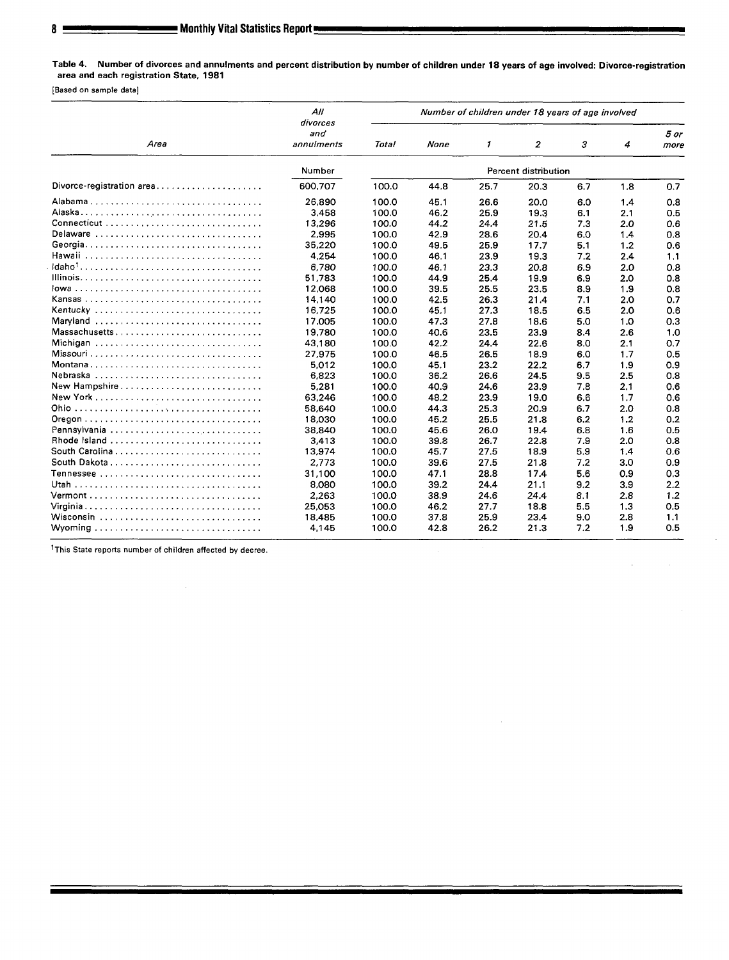Table 4. Number of divorces and annulments and percent distribution by number of children under 18 years of age involved: Divorce-registration area and each registration State, 1981

[Based on sample data]

|                                                                       | All<br>divorces   | Number of children under 18 years of age involved |      |      |                      |     |     |              |  |  |
|-----------------------------------------------------------------------|-------------------|---------------------------------------------------|------|------|----------------------|-----|-----|--------------|--|--|
| Area                                                                  | and<br>annulments | Total                                             | None | 1    | 2                    | 3   | 4   | 5 or<br>more |  |  |
|                                                                       | Number            |                                                   |      |      | Percent distribution |     |     |              |  |  |
| Divorce-registration area                                             | 600,707           | 100.0                                             | 44.8 | 25.7 | 20.3                 | 6.7 | 1.8 | 0.7          |  |  |
|                                                                       | 26,890            | 100.0                                             | 45.1 | 26.6 | 20.0                 | 6.0 | 1.4 | 0.8          |  |  |
|                                                                       | 3,458             | 100.0                                             | 46.2 | 25.9 | 19.3                 | 6.1 | 2.1 | 0.5          |  |  |
| Connecticut $\ldots \ldots \ldots \ldots \ldots \ldots \ldots \ldots$ | 13,296            | 100.0                                             | 44.2 | 24.4 | 21.5                 | 7.3 | 2.0 | 0.6          |  |  |
| Delaware                                                              | 2.995             | 100.0                                             | 42.9 | 28.6 | 20.4                 | 6.0 | 1.4 | 0.8          |  |  |
|                                                                       | 35,220            | 100.0                                             | 49.5 | 25.9 | 17.7                 | 5.1 | 1.2 | 0.6          |  |  |
|                                                                       | 4.254             | 100.0                                             | 46.1 | 23.9 | 19.3                 | 7.2 | 2.4 | 1,1          |  |  |
|                                                                       | 6,780             | 100.0                                             | 46.1 | 23.3 | 20.8                 | 6.9 | 2.0 | 0.8          |  |  |
|                                                                       | 51,783            | 100.0                                             | 44.9 | 25.4 | 19.9                 | 6.9 | 2.0 | 0.8          |  |  |
|                                                                       | 12,068            | 100.0                                             | 39.5 | 25.5 | 23.5                 | 8.9 | 1.9 | 0.8          |  |  |
|                                                                       | 14,140            | 100.0                                             | 42.5 | 26.3 | 21.4                 | 7.1 | 2.0 | 0.7          |  |  |
| Kentucky                                                              | 16.725            | 100.0                                             | 45.1 | 27.3 | 18.5                 | 6.5 | 2.0 | 0.6          |  |  |
| Maryland                                                              | 17,005            | 100.0                                             | 47.3 | 27.8 | 18.6                 | 5.0 | 1.0 | 0.3          |  |  |
| Massachusetts                                                         | 19,780            | 100.0                                             | 40.6 | 23.5 | 23.9                 | 8.4 | 2.6 | 1.0          |  |  |
| Michigan                                                              | 43,180            | 100.0                                             | 42.2 | 24.4 | 22.6                 | 8.0 | 2.1 | 0.7          |  |  |
|                                                                       | 27,975            | 100.0                                             | 46.5 | 26.5 | 18.9                 | 6.0 | 1.7 | 0.5          |  |  |
|                                                                       | 5.012             | 100.0                                             | 45.1 | 23.2 | 22.2                 | 6.7 | 1.9 | 0.9          |  |  |
| Nebraska                                                              | 6.823             | 100.0                                             | 36.2 | 26.6 | 24.5                 | 9.5 | 2.5 | 0.8          |  |  |
|                                                                       | 5,281             | 100.0                                             | 40.9 | 24.6 | 23.9                 | 7.8 | 2.1 | 0.6          |  |  |
|                                                                       | 63.246            | 100.0                                             | 48.2 | 23.9 | 19.0                 | 6.6 | 1.7 | 0.6          |  |  |
|                                                                       | 58,640            | 100.0                                             | 44.3 | 25.3 | 20.9                 | 6.7 | 2.0 | 0.8          |  |  |
|                                                                       | 18,030            | 100.0                                             | 45.2 | 25.5 | 21.8                 | 6.2 | 1.2 | 0.2          |  |  |
| Pennsylvania                                                          | 38,840            | 100.0                                             | 45.6 | 26.0 | 19.4                 | 6.8 | 1.6 | 0.5          |  |  |
|                                                                       | 3,413             | 100.0                                             | 39.8 | 26.7 | 22.8                 | 7.9 | 2.0 | 0.8          |  |  |
| South Carolina                                                        | 13.974            | 100.0                                             | 45.7 | 27.5 | 18.9                 | 5.9 | 1.4 | 0.6          |  |  |
|                                                                       | 2,773             | 100.0                                             | 39.6 | 27.5 | 21.8                 | 7.2 | 3.0 | 0.9          |  |  |
|                                                                       | 31,100            | 100.0                                             | 47.1 | 28.8 | 17.4                 | 5.6 | 0.9 | 0.3          |  |  |
| Utah                                                                  | 8,080             | 100.0                                             | 39.2 | 24.4 | 21.1                 | 9.2 | 3.9 | 2.2          |  |  |
|                                                                       | 2,263             | 100.0                                             | 38.9 | 24.6 | 24.4                 | 8.1 | 2.8 | 1.2          |  |  |
|                                                                       | 25,053            | 100.0                                             | 46.2 | 27.7 | 18.8                 | 5.5 | 1.3 | 0.5          |  |  |
| Wisconsin                                                             | 18,485            | 100.0                                             | 37.8 | 25.9 | 23.4                 | 9.0 | 2.8 | 1.1          |  |  |
|                                                                       | 4,145             | 100.0                                             | 42.8 | 26.2 | 21.3                 | 7.2 | 1.9 | 0.5          |  |  |

 $\hat{\mathbf{r}}$ 

lThis State reports number of children affected by decree.

 $\bar{z}$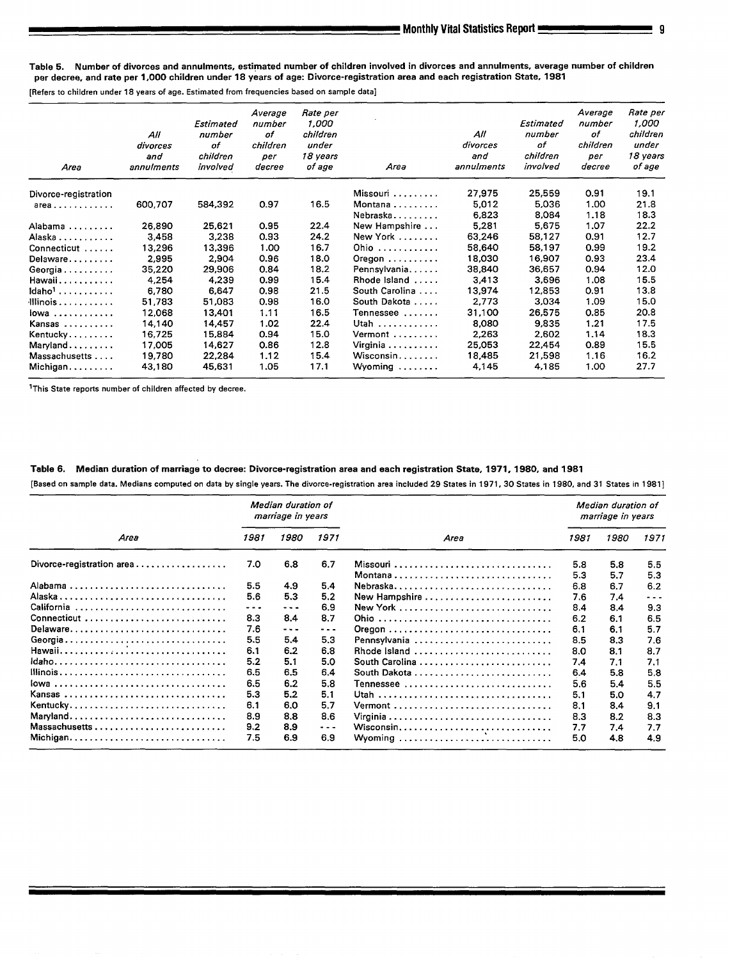Table 5. Number of divorces end annulments, estimated number of children involved in divorces and annulments, average number of children per decree, and rate per 1,000 children under 18 years of age: Divorce-registration area and each registration State, 1981 **[Refers to children under 18 years of age. Estimated from frequencies based on sample data]**

| Area                        | All<br>divorces<br>and<br>annulments | Estimated<br>number<br>of<br>children<br>involved | Average<br>number<br>of<br>children<br>per<br>decree | Rate per<br>1.000<br>children<br>under<br>18 years<br>of age | Area                     | All<br>divorces<br>and<br>annulments | Estimated<br>number<br>of<br>children<br>involved | Average<br>number<br>of<br>children<br>per<br>decree | Rate per<br>1,000<br>children<br>under<br>18 years<br>of age |
|-----------------------------|--------------------------------------|---------------------------------------------------|------------------------------------------------------|--------------------------------------------------------------|--------------------------|--------------------------------------|---------------------------------------------------|------------------------------------------------------|--------------------------------------------------------------|
| Divorce-registration        |                                      |                                                   |                                                      |                                                              | Missouri                 | 27.975                               | 25,559                                            | 0.91                                                 | 19.1                                                         |
| $area \ldots \ldots \ldots$ | 600,707                              | 584,392                                           | 0.97                                                 | 16.5                                                         | Montana<br>Nebraska      | 5.012<br>6.823                       | 5,036<br>8,084                                    | 1.00<br>1.18                                         | 21.8<br>18.3                                                 |
| Alabama                     | 26,890                               | 25,621                                            | 0.95                                                 | 22.4                                                         | New Hampshire            | 5,281                                | 5,675                                             | 1.07                                                 | 22.2                                                         |
| Alaska                      | 3,458                                | 3.238                                             | 0.93                                                 | 24.2                                                         | New York                 | 63.246                               | 58,127                                            | 0.91                                                 | 12.7                                                         |
| Connecticut                 | 13,296                               | 13,396                                            | 1.00                                                 | 16.7                                                         | Ohio                     | 58,640                               | 58,197                                            | 0.99                                                 | 19.2                                                         |
| Delaware                    | 2,995                                | 2,904                                             | 0.96                                                 | 18.0                                                         | Oregon $\dots\dots\dots$ | 18,030                               | 16.907                                            | 0.93                                                 | 23.4                                                         |
| Georgia                     | 35,220                               | 29,906                                            | 0.84                                                 | 18.2                                                         | Pennsylvania             | 38,840                               | 36,657                                            | 0.94                                                 | 12.0                                                         |
| Hawaii                      | 4,254                                | 4.239                                             | 0.99                                                 | 15.4                                                         | Rhode Island             | 3.413                                | 3,696                                             | 1.08                                                 | 15.5                                                         |
| ldaho <sup>1</sup>          | 6,780                                | 6.647                                             | 0.98                                                 | 21.5                                                         | South Carolina           | 13,974                               | 12.853                                            | 0.91                                                 | 13.8                                                         |
| $\frac{1}{2}$ llinois       | 51,783                               | 51,083                                            | 0.98                                                 | 16.0                                                         | South Dakota             | 2.773                                | 3,034                                             | 1.09                                                 | 15.0                                                         |
| $lowa \ldots \ldots \ldots$ | 12.068                               | 13,401                                            | 1.11                                                 | 16.5                                                         | Tennessee                | 31,100                               | 26,575                                            | 0.85                                                 | 20.8                                                         |
| Kansas                      | 14.140                               | 14,457                                            | 1.02                                                 | 22.4                                                         | Utah                     | 8,080                                | 9.835                                             | 1.21                                                 | 17.5                                                         |
| Kentucky                    | 16,725                               | 15,884                                            | 0.94                                                 | 15.0                                                         | Vermont                  | 2,263                                | 2,602                                             | 1.14                                                 | 18.3                                                         |
| Maryland                    | 17,005                               | 14,627                                            | 0.86                                                 | 12.8                                                         | Virginia                 | 25,053                               | 22,454                                            | 0.89                                                 | 15.5                                                         |
| Massachusetts               | 19,780                               | 22,284                                            | 1.12                                                 | 15.4                                                         | Wisconsin                | 18,485                               | 21,598                                            | 1.16                                                 | 16.2                                                         |
| Michigan                    | 43,180                               | 45,631                                            | 1.05                                                 | 17.1                                                         | Wyoming $\dots\dots$     | 4,145                                | 4,185                                             | 1.00                                                 | 27.7                                                         |

**lThis State reports number of children affected by decree.**

Table 6. Median duration of marriage to decree: Divorce-registration area and each registration State, 1971, 1980, and 1981

[Based on sample data. Medians computed on data by single years. The divorce-registration area included 29 States in 1971, 30 States in 1980, and 31 States in 1981]

|                           |      | Median duration of<br>marriage in years |               |                |            | Median duration of<br>marriage in years |            |
|---------------------------|------|-----------------------------------------|---------------|----------------|------------|-----------------------------------------|------------|
| Area                      | 1981 | 1980                                    | 1971          | Area           | 1981       | 1980                                    | 1971       |
| Divorce-registration area | 7.0  | 6.8                                     | 6.7           | Montana        | 5.8<br>5.3 | 5.8<br>5.7                              | 5.5<br>5.3 |
|                           | 5.5  | 4.9                                     | 5.4           | Nebraska       | 6.8        | 6.7                                     | 6.2        |
|                           | 5.6  | 5.3                                     | 5.2           | New Hampshire  | 7.6        | 7.4                                     | - - -      |
|                           | ---  | ---                                     | 6.9           |                | 8.4        | 8.4                                     | 9.3        |
| Connecticut               | 8.3  | 8.4                                     | 8.7           |                | 6.2        | 6.1                                     | 6.5        |
| Delaware                  | 7.6  | ---                                     | ---           |                | 6.1        | 6.1                                     | 5.7        |
| Georgia                   | 5.5  | 5.4                                     | 5.3           | Pennsylvania   | 8.5        | 8.3                                     | 7.6        |
|                           | 6.1  | 6.2                                     | 6.8           | Rhode Island   | 8.0        | 8.1                                     | 8.7        |
|                           | 5.2  | 5.1                                     | 5.0           | South Carolina | 7.4        | 7.1                                     | 7.1        |
|                           | 6.5  | 6.5                                     | 6.4           |                | 6.4        | 5.8                                     | 5.8        |
|                           | 6.5  | 6.2                                     | 5.8           | Tennessee      | 5.6        | 5.4                                     | 5.5        |
| Kansas                    | 5.3  | 5.2                                     | 5.1           |                | 5.1        | 5.0                                     | 4.7        |
| Kentucky                  | 6.1  | 6.0                                     | 5.7           | Vermont        | 8.1        | 8.4                                     | 9.1        |
| Maryland                  | 8.9  | 8.8                                     | 8.6           |                | 8,3        | 8.2                                     | 8.3        |
|                           | 9.2  | 8.9                                     | $\frac{1}{2}$ | Wisconsin      | 7.7        | 7.4                                     | 7.7        |
| Michigan                  | 7.5  | 6.9                                     | 6.9           | Wyoming        | 5.0        | 4.8                                     | 4.9        |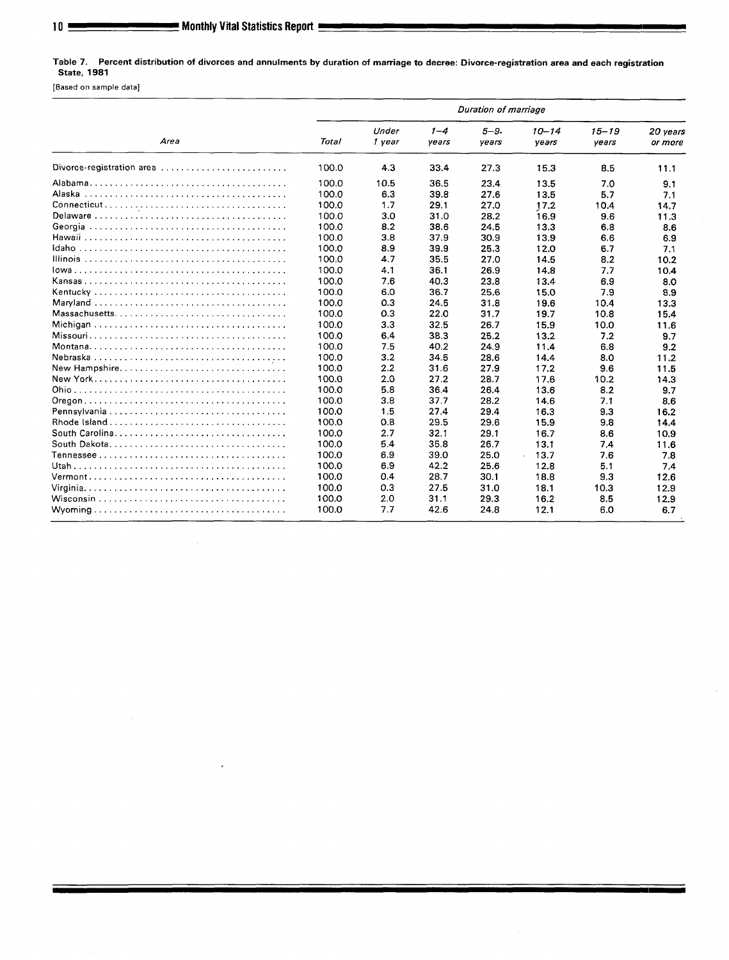Table 7. Percent distribution of divorces and annulments by duration of marriage to decree: Divorce-registration area and eech registration State, 1981

**[Based on sample data]**

|                | <b>Duration of marriage</b> |                 |                  |                   |                    |                    |                     |  |  |  |  |
|----------------|-----------------------------|-----------------|------------------|-------------------|--------------------|--------------------|---------------------|--|--|--|--|
| Area           | <b>Total</b>                | Under<br>1 year | $1 - 4$<br>vears | $5 - 9.$<br>years | $10 - 14$<br>vears | $15 - 19$<br>years | 20 years<br>or more |  |  |  |  |
|                | 100.0                       | 4.3             | 33.4             | 27.3              | 15.3               | 8.5                | 11.1                |  |  |  |  |
|                | 100.0                       | 10.5            | 36.5             | 23.4              | 13.5               | 7.0                | 9.1                 |  |  |  |  |
|                | 100.0                       | 6.3             | 39.8             | 27.6              | 13.5               | 5.7                | 7.1                 |  |  |  |  |
|                | 100.0                       | 1.7             | 29.1             | 27.0              | 17.2               | 10.4               | 14.7                |  |  |  |  |
|                | 100.0                       | 3.0             | 31.0             | 28.2              | 16.9               | 9.6                | 11.3                |  |  |  |  |
|                | 100.0                       | 8.2             | 38.6             | 24.5              | 13.3               | 6.8                | 8.6                 |  |  |  |  |
|                | 100.0                       | 3.8             | 37.9             | 30.9              | 13.9               | 6.6                | 6.9                 |  |  |  |  |
|                | 100.0                       | 8.9             | 39.9             | 25.3              | 12.0               | 6.7                | 7.1                 |  |  |  |  |
|                | 100.0                       | 4.7             | 35.5             | 27.0              | 14.5               | 8.2                | 10.2                |  |  |  |  |
|                | 100.0                       | 4.1             | 36.1             | 26.9              | 14.8               | 7.7                | 10.4                |  |  |  |  |
|                | 100.0                       | 7.6             | 40.3             | 23.8              | 13.4               | 6.9                | 8.0                 |  |  |  |  |
|                | 100.0                       | 6.0             | 36.7             | 25.6              | 15.0               | 7.9                | 8.9                 |  |  |  |  |
|                | 100.0                       | 0.3             | 24.5             | 31.8              | 19.6               | 10.4               | 13.3                |  |  |  |  |
|                | 100.0                       | 0.3             | 22.0             | 31.7              | 19.7               | 10.8               | 15.4                |  |  |  |  |
|                | 100.0                       | 3.3             | 32.5             | 26.7              | 15.9               | 10.0               | 11.6                |  |  |  |  |
|                | 100.0                       | 6.4             | 38.3             | 25.2              | 13.2               | 7.2                | 9.7                 |  |  |  |  |
|                | 100.0                       | 7.5             | 40.2             | 24.9              | 11.4               | 6.8                | 9.2                 |  |  |  |  |
|                | 100.0                       | 3.2             | 34.5             | 28.6              | 14.4               | 8.0                | 11.2                |  |  |  |  |
| New Hampshire  | 100.0                       | 2.2             | 31.6             | 27.9              | 17.2               | 9.6                | 11.5                |  |  |  |  |
|                | 100.0                       | 2.0             | 27.2             | 28.7              | 17.6               | 10.2               | 14.3                |  |  |  |  |
|                | 100.0                       | 5.8             | 36.4             | 26.4              | 13.6               | 8.2                | 9.7                 |  |  |  |  |
|                | 100.0                       | 3.8             | 37.7             | 28.2              | 14.6               | 7.1                | 8.6                 |  |  |  |  |
|                | 100.0                       | 1.5             | 27.4             | 29.4              | 16.3               | 9.3                | 16.2                |  |  |  |  |
|                | 100.0                       | 0.8             | 29.5             | 29.6              | 15.9               | 9.8                | 14.4                |  |  |  |  |
| South Carolina | 100.0                       | 2.7             | 32.1             | 29.1              | 16.7               | 8.6                | 10.9                |  |  |  |  |
|                | 100.0                       | 5.4             | 35.8             | 26.7              | 13.1               | 7.4                | 11.6                |  |  |  |  |
|                | 100.0                       | 6.9             | 39.0             | 25.0              | 13.7<br>$\sim$     | 7.6                | 7.8                 |  |  |  |  |
|                | 100.0                       | 6.9             | 42.2             | 25.6              | 12.8               | 5.1                | 7.4                 |  |  |  |  |
|                | 100.0                       | 0.4             | 28.7             | 30.1              | 18.8               | 9.3                | 12.6                |  |  |  |  |
|                | 100.0                       | 0.3             | 27.5             | 31.0              | 18.1               | 10.3               | 12.9                |  |  |  |  |
|                | 100.0                       | 2.0             | 31.1             | 29.3              | 16.2               | 8.5                | 12.9                |  |  |  |  |
|                | 100.0                       | 7.7             | 42.6             | 24.8              | 12.1               | 6.0                | 6.7                 |  |  |  |  |
|                |                             |                 |                  |                   |                    |                    |                     |  |  |  |  |

 $\bar{\beta}$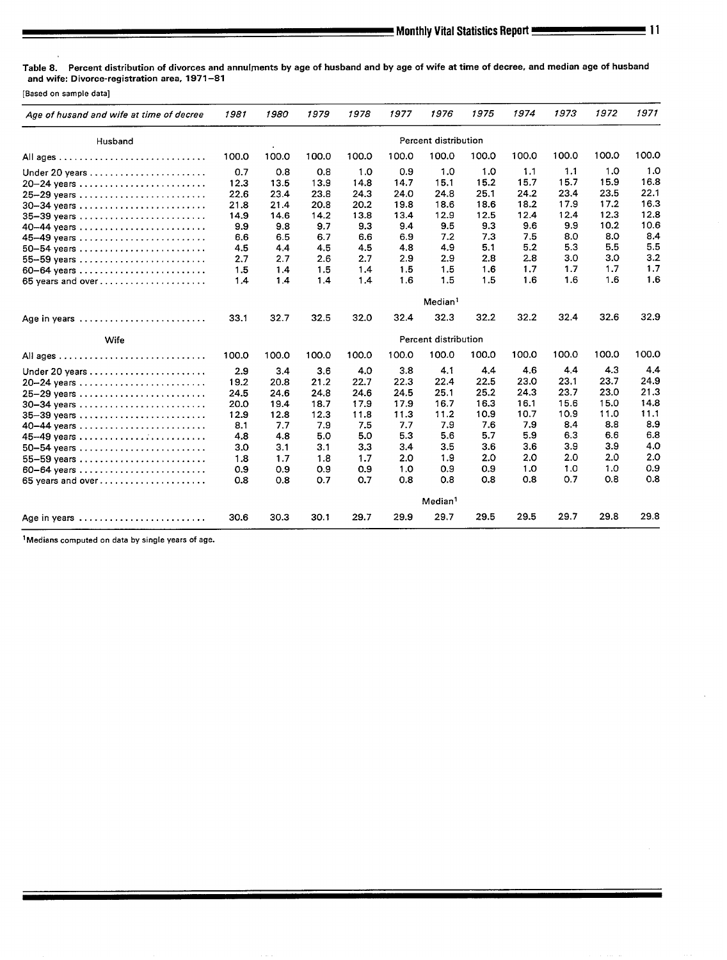Table 8. Percent distribution of divorces and annulments by age of husband and by age of wife at time of decree, and median age of husband and wife: Divorce-registration area, 1971-81

[Baaed on sample data]

| Age of husand and wife at time of decree | 1981                | 1980  | 1979  | 1978  | 1977  | 1976                 | 1975  | 1974  | 1973  | 1972  | 1971  |
|------------------------------------------|---------------------|-------|-------|-------|-------|----------------------|-------|-------|-------|-------|-------|
| Husband                                  |                     |       |       |       |       | Percent distribution |       |       |       |       |       |
|                                          | 100.0               | 100.0 | 100.0 | 100.0 | 100.0 | 100.0                | 100.0 | 100.0 | 100.0 | 100.0 | 100.0 |
| Under 20 years                           | 0.7                 | 0.8   | 0.8   | 1.0   | 0.9   | 1.0                  | 1.0   | 1.1   | 1.1   | 1.0   | 1.0   |
|                                          | 12.3                | 13.5  | 13.9  | 14.8  | 14.7  | 15.1                 | 15.2  | 15.7  | 15.7  | 15.9  | 16.8  |
|                                          | 22.6                | 23.4  | 23.8  | 24.3  | 24.0  | 24.8                 | 25.1  | 24.2  | 23.4  | 23.5  | 22.1  |
|                                          | 21.8                | 21.4  | 20.8  | 20.2  | 19.8  | 18.6                 | 18.6  | 18.2  | 17.9  | 17.2  | 16.3  |
|                                          | 14.9                | 14.6  | 14.2  | 13.8  | 13.4  | 12.9                 | 12.5  | 12.4  | 12.4  | 12.3  | 12.8  |
|                                          | 9.9                 | 9.8   | 9.7   | 9.3   | 9.4   | 9.5                  | 9.3   | 9.6   | 9.9   | 10.2  | 10.6  |
| 45-49 years                              | 6.6                 | 6.5   | 6.7   | 6.6   | 6.9   | 7.2                  | 7.3   | 7.5   | 8.0   | 8.0   | 8.4   |
|                                          | 4.5                 | 4,4   | 4.5   | 4.5   | 4.8   | 4.9                  | 5.1   | 5.2   | 5.3   | 5.5   | 5.5   |
| 55-59 years                              | 2.7                 | 2.7   | 2.6   | 2.7   | 2.9   | 2.9                  | 2.8   | 2.8   | 3.0   | 3.0   | 3.2   |
|                                          | 1.5                 | 1.4   | 1.5   | 1.4   | 1.5   | 1.5                  | 1.6   | 1.7   | 1.7   | 1.7   | 1.7   |
| 65 years and over                        | 1.4                 | 1.4   | 1.4   | 1.4   | 1.6   | 1.5                  | 1.5   | 1.6   | 1.6   | 1.6   | 1.6   |
|                                          |                     |       |       |       |       | Median <sup>1</sup>  |       |       |       |       |       |
| Age in years                             | 33.1                | 32.7  | 32.5  | 32.0  | 32.4  | 32.3                 | 32.2  | 32.2  | 32.4  | 32.6  | 32.9  |
| Wife                                     |                     |       |       |       |       | Percent distribution |       |       |       |       |       |
|                                          | 100.0               | 100.0 | 100.0 | 100.0 | 100.0 | 100.0                | 100.0 | 100.0 | 100.0 | 100.0 | 100.0 |
|                                          | 2.9                 | 3.4   | 3.6   | 4.0   | 3.8   | 4.1                  | 4.4   | 4.6   | 4.4   | 4.3   | 4.4   |
|                                          | 19.2                | 20.8  | 21.2  | 22.7  | 22.3  | 22.4                 | 22.5  | 23.0  | 23.1  | 23.7  | 24.9  |
|                                          | 24.5                | 24.6  | 24.8  | 24.6  | 24.5  | 25.1                 | 25.2  | 24.3  | 23.7  | 23.0  | 21.3  |
| 30-34 years                              | 20.0                | 19.4  | 18.7  | 17.9  | 17.9  | 16.7                 | 16.3  | 16.1  | 15.6  | 15.0  | 14.8  |
| 35-39 years                              | 12.9                | 12.8  | 12.3  | 11.8  | 11.3  | 11.2                 | 10.9  | 10.7  | 10.9  | 11.0  | 11.1  |
| 40-44 years                              | 8.1                 | 7.7   | 7.9   | 7.5   | 7.7   | 7.9                  | 7.6   | 7.9   | 8.4   | 8.8   | 8.9   |
| 45-49 years                              | 4.8                 | 4.8   | 5.0   | 5.0   | 5.3   | 5.6                  | 5.7   | 5.9   | 6.3   | 6.6   | 6.8   |
| 50-54 years                              | 3.0                 | 3.1   | 3.1   | 3.3   | 3.4   | 3.5                  | 3.6   | 3.6   | 3.9   | 3.9   | 4.0   |
|                                          | 1.8                 | 1.7   | 1.8   | 1.7   | 2.0   | 1.9                  | 2.0   | 2.0   | 2.0   | 2.0   | 2.0   |
|                                          | 0.9                 | 0.9   | 0.9   | 0.9   | 1.0   | 0.9                  | 0.9   | 1.0   | 1.0   | 1.0   | 0.9   |
| 65 years and over                        | 0.8                 | 0.8   | 0.7   | 0.7   | 0.8   | 0.8                  | 0.8   | 0.8   | 0.7   | 0.8   | 0.8   |
|                                          | Median <sup>1</sup> |       |       |       |       |                      |       |       |       |       |       |
| Age in years                             | 30.6                | 30.3  | 30.1  | 29.7  | 29.9  | 29.7                 | 29.5  | 29.5  | 29.7  | 29.8  | 29.8  |

1Medians computed on data by single years of age.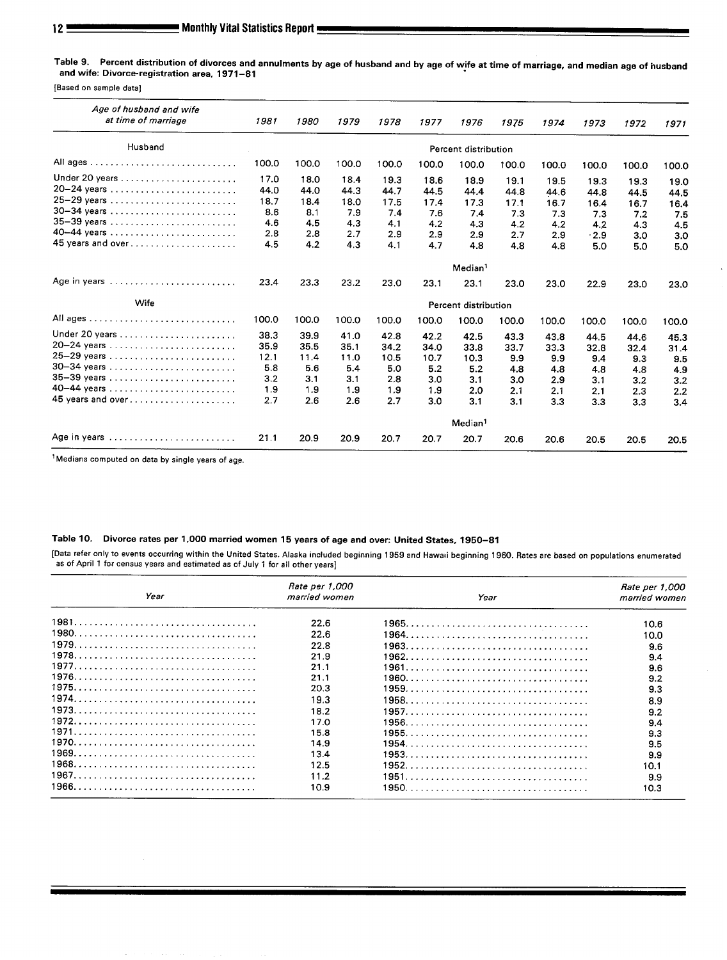Table 9. Percent distribution of divorces and annulments by age of husband and by age of wife at time of marriage, and median age of husband and wife: Divorce-registration area, 1971–81

**[Based on sample data]**

| Age of husband and wife<br>at time of marriage                                                               | 1981                                                     | 1980                                                     | 1979                                                     | 1978                                                     | 1977                                             | 1976                                                                    | 1975                                             | 1974                                             | 1973                                                | 1972                                             | 1971                                             |  |
|--------------------------------------------------------------------------------------------------------------|----------------------------------------------------------|----------------------------------------------------------|----------------------------------------------------------|----------------------------------------------------------|--------------------------------------------------|-------------------------------------------------------------------------|--------------------------------------------------|--------------------------------------------------|-----------------------------------------------------|--------------------------------------------------|--------------------------------------------------|--|
| Husband                                                                                                      |                                                          |                                                          |                                                          |                                                          |                                                  | Percent distribution                                                    |                                                  |                                                  |                                                     |                                                  |                                                  |  |
|                                                                                                              | 100.0                                                    | 100.0                                                    | 100.0                                                    | 100.0                                                    | 100.0                                            | 100.0                                                                   | 100.0                                            | 100.0                                            | 100.0                                               | 100.0                                            | 100.0                                            |  |
| 20-24 years<br>25-29 years<br>30-34 years<br>35-39 years<br>40-44 years<br>45 years and over<br>Age in years | 17.0<br>44.0<br>18.7<br>8.6<br>4.6<br>2.8<br>4.5<br>23.4 | 18.0<br>44.0<br>18.4<br>8.1<br>4.5<br>2.8<br>4.2<br>23.3 | 18.4<br>44.3<br>18.0<br>7.9<br>4.3<br>2.7<br>4.3<br>23.2 | 19.3<br>44.7<br>17.5<br>7.4<br>4.1<br>2.9<br>4.1<br>23.0 | 18.6<br>44.5<br>17.4<br>7.6<br>4.2<br>2.9<br>4.7 | 18.9<br>44.4<br>17.3<br>7.4<br>4.3<br>2.9<br>4.8<br>Median <sup>1</sup> | 19.1<br>44.8<br>17.1<br>7.3<br>4.2<br>2.7<br>4.8 | 19.5<br>44.6<br>16.7<br>7.3<br>4.2<br>2.9<br>4.8 | 19.3<br>44.8<br>16.4<br>7.3<br>4.2<br>$-2.9$<br>5.0 | 19.3<br>44.5<br>16.7<br>7.2<br>4.3<br>3.0<br>5.0 | 19.0<br>44.5<br>16.4<br>7.5<br>4.5<br>3.0<br>5.0 |  |
|                                                                                                              |                                                          |                                                          |                                                          |                                                          | 23.1                                             | 23.1                                                                    | 23.0                                             | 23.0                                             | 22.9                                                | 23.0                                             | 23.0                                             |  |
| Wife                                                                                                         |                                                          |                                                          |                                                          |                                                          |                                                  |                                                                         | Percent distribution                             |                                                  |                                                     |                                                  |                                                  |  |
|                                                                                                              | 100.0                                                    | 100.0                                                    | 100.0                                                    | 100.0                                                    | 100.0                                            | 100.0                                                                   | 100.0                                            | 100.0                                            | 100.0                                               | 100.0                                            | 100.0                                            |  |
| Under 20 years<br>20-24 years<br>25-29 years<br>35-39 years<br>40-44 years<br>45 years and over              | 38.3<br>35.9<br>12.1<br>5.8<br>3.2<br>1.9<br>2.7         | 39.9<br>35.5<br>11.4<br>5.6<br>3.1<br>1.9<br>2.6         | 41.0<br>35.1<br>11.0<br>54<br>3.1<br>1.9<br>2.6          | 42.8<br>34.2<br>10.5<br>5.0<br>2.8<br>1.9<br>2.7         | 42.2<br>34.0<br>10.7<br>5.2<br>3.0<br>1.9<br>3.0 | 42.5<br>33.8<br>10.3<br>5.2<br>3.1<br>2.0<br>3.1<br>Median <sup>1</sup> | 43.3<br>33.7<br>9.9<br>4.8<br>3.0<br>2.1<br>3.1  | 43.8<br>33.3<br>9.9<br>4.8<br>2.9<br>2.1<br>3.3  | 44.5<br>32.8<br>9.4<br>4.8<br>3.1<br>2.1<br>3.3     | 44.6<br>32.4<br>9.3<br>4.8<br>3.2<br>2.3<br>3.3  | 45.3<br>31.4<br>9.5<br>4.9<br>3.2<br>2.2<br>3.4  |  |
| Age in years                                                                                                 | 21.1                                                     | 20.9                                                     | 20.9                                                     | 20.7                                                     | 20.7                                             | 20.7                                                                    | 20.6                                             | 20.6                                             | 20.5                                                | 20.5                                             | 20.5                                             |  |

**1Medians computed on data by single years of ag,e.**

## Table 10. Divorce rates per 1,000 married women 15 years of age and over: United States, 1950-81

[Data refer only to events occurring within the United States. Alaska included beginning 1959 and Hawaii beginning 1960. Rates are based on populations enumerated **as of April 1 for cenaua years and estimated as of July 1 for all other years]**

| Year | Rate per 1,000<br>married women | Year | Rate per 1,000<br>married women |
|------|---------------------------------|------|---------------------------------|
|      | 22.6                            |      | 10.6                            |
|      | 22.6                            |      | 10.0                            |
|      | 22.8                            |      | 9.6                             |
|      | 21.9                            |      | 9.4                             |
|      | 21.1                            |      | 9.6                             |
|      | 21.1                            |      | 9.2                             |
|      | 20.3                            |      | 9.3                             |
|      | 19.3                            |      | 8.9                             |
|      | 18.2                            |      | 9.2                             |
|      | 17.0                            |      | 9.4                             |
|      | 15.8                            |      | 9.3                             |
|      | 14.9                            |      | 9.5                             |
|      | 13.4                            |      | 9.9                             |
|      | 12.5                            |      | 10.1                            |
|      | 11.2                            |      | 9.9                             |
|      | 10.9                            |      | 10.3                            |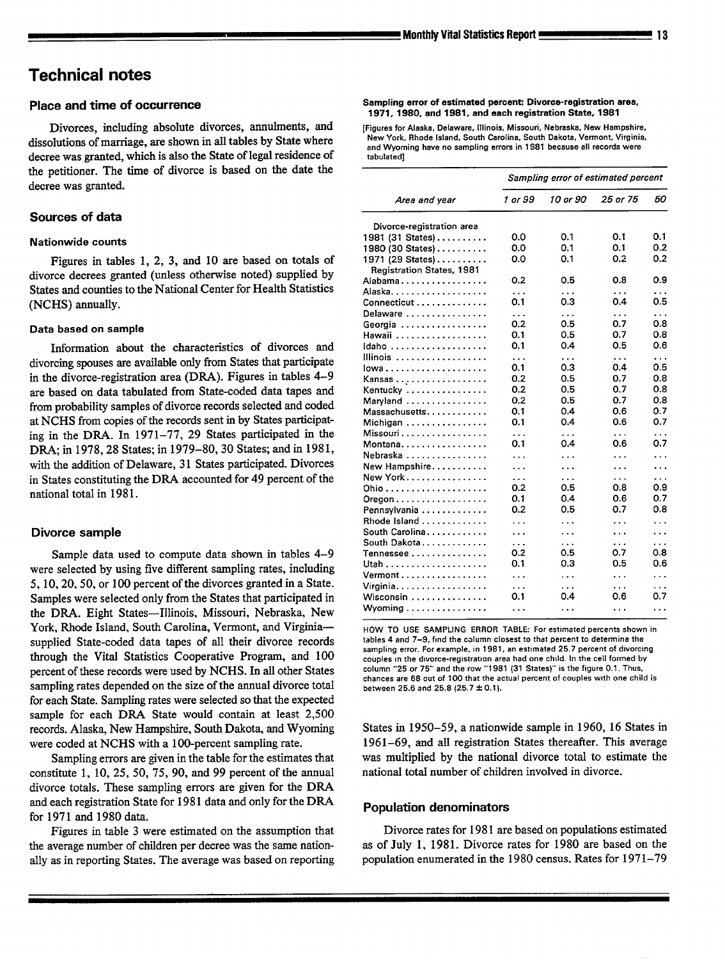## **Technical notes**

## **Place and time of occurrence**

Divorces, including absolute divorces, annulments, and dissolutions of marriage, are shown in all tables by State where decree was granted, which is also the State of legal residence of the petitioner. The time of divorce is based on the date the decree was granted.

## **Sources of data**

#### Nationwide counts

Figures in tables 1, 2, 3, and 10 are based on totals of divorce decrees granted (unless otherwise noted) supplied by States and counties to the National Center for Health Statistics (NCHS) annually.

#### Data based on sample

Information about the characteristics of divorces and divorcing spouses are available only from States that participate in the divorce-registration area (DRA). Figures in tables 4–9 are based on data tabulated from State-coded data tapes and from probability samples of divorce records selected and coded at NCHS from copies of the records sent in by States participating in the DRA. In  $1971-77$ , 29 States participated in the DRA; in 1978,28 States; in 1979–80, 30 States; and in 1981, with the addition of Delaware, 31 States participated. Divorces in States constituting the DRA accounted for 49 percent of the national total in 1981.

#### **Divorce sample**

Sample data used to compute data shown in tables 4–9 were selected by using five different sampling rates, including 5, 10,20,50, or 100 percent of the divorces granted in a State. Samples were selected only from the States that participated in the DRA. Eight States—Illinois, Missouri, Nebraska, New York, Rhode Island, South Carolina, Vermont, and Virginia supplied State-coded data tapes of all their divorce records through the Vital Statistics Cooperative Program, and 100 percent of these records were used by NCHS. In all other States sampling rates depended on the size of the annual divorce total for each State. Sampling rates were selected so that the expected sample for each DRA State would contain at least 2,500 records. Alaska, New Hampshire, South Dakota, and Wyoming were coded at NCHS with a 100-percent sampling rate.

Sampling errors are given in the table for the estimates that constitute 1, 10, 25, 50, 75, 90, and 99 percent of the annual divorce totals. These sampling errors are given for the DR4 and each registration State for 1981 data and only for the DR4 for 1971 and 1980 data.

Figures in table 3 were estimated on the assumption that the average number of children per decree was the same nationally as in reporting States. The average was based on reporting

**Sampling error of estimated percent Divorca-registration area, 1971, 1980, end 1981, and each registration State, 1981**

**[Figures for Alaska, Delaware, Illinois, Missouri, Nebraska, New Hampshire, New York, Rhode Island, South Csrolina, South Dakota, Vermont, Virginia, and Wyoming have no sampling errora in 1981 because all records were tabulated]**

| Area and year                    | Sampling error of estimated percent |           |           |           |
|----------------------------------|-------------------------------------|-----------|-----------|-----------|
|                                  | 1 or 99                             | 10 or 90  | 25 or 75  | 50        |
| Divorce-registration area        |                                     |           |           |           |
| 1981 (31 States)                 | 0.0                                 | 0.1       | 0.1       | 0.1       |
| 1980 (30 States)                 | 0.0                                 | 0.1       | 0.1       | 0.2       |
| 1971 (29 States)                 | 0.0                                 | 0.1       | 0.2       | 0.2       |
| <b>Registration States, 1981</b> |                                     |           |           |           |
| Alabama                          | 0.2                                 | 0.5       | 0.8       | 0.9       |
| Alaska.                          | .                                   | $\cdots$  | .         | $\cdots$  |
| Connecticut                      | 0.1                                 | 0.3       | 0.4       | 0.5       |
| Delaware                         | .                                   | .         | .         | .         |
| Georgia                          | 0.2                                 | 0.5       | 0.7       | 0.8       |
| Hawaii                           | 0.1                                 | 0.5       | 0.7       | 0.8       |
| Idaho                            | 0.1                                 | 0.4       | 0.5       | 0.6       |
| Illinois                         | .                                   | $\cdots$  | .         | .         |
| lowa                             | 0.1                                 | 0.3       | 0.4       | 0.5       |
| Kansas                           | 0.2                                 | 0.5       | 0.7       | 0.8       |
| Kentucky                         | 0.2                                 | 0.5       | 0.7       | 0.8       |
| Maryland                         | 0.2                                 | 0.5       | 0.7       | 0.8       |
| Massachusetts                    | 0.1                                 | 0.4       | 0.6       | 0.7       |
| Michigan                         | 0.1                                 | 0.4       | 0.6       | 0.7       |
| Missouri                         | $\ddotsc$                           | $\ddotsc$ | $\ddotsc$ | $\cdots$  |
| Montana                          | 0.1                                 | 0.4       | 0.6       | 0.7       |
| Nebraska                         | .                                   | .         | .         | .         |
| New Hampshire                    | .                                   | $\cdots$  | .         | $\ddotsc$ |
| New York                         | .                                   | .         | .         | $\cdots$  |
|                                  | 0.2                                 | 0.5       | 0.8       | 0.9       |
| $O$ regon                        | 0.1                                 | 0.4       | 0.6       | 0.7       |
| Pennsylvania                     | 0.2                                 | 0.5       | 0.7       | 0.8       |
| Rhode Island                     | .                                   | $\cdots$  | .         | $\cdots$  |
| South Carolina                   | $\cdots$                            | .         | .         | .         |
| South Dakota                     | .                                   | .         | .         | .         |
| Tennessee                        | 0.2                                 | 0.5       | 0.7       | 0.8       |
|                                  | 0.1                                 | 0.3       | 0.5       | 0.6       |
| Vermont                          | .                                   | .         | .         | .         |
| Virginia.                        | $\cdots$                            | .         | $\cdots$  | $\cdots$  |
| Wisconsin                        | 0.1                                 | 0.4       | 0.6       | 0.7       |
| Wyoming                          | $\cdots$                            | .         | .         | $\cdots$  |

**HOW TO USE SAMPLING ERROR TABLE: For estimated percents shown in tables 4 and 7-9, fmd the calumn closest to that percent to determine the sampling error. For example, [n 1981, an estimated 25.7 percent of dworcmg couples In the dworce-reg!stratlon area had one** chtld. In **the cell formed by column "25 or 75" and the row '"1981 (31 States)"** IS **the figure 0.1, Thus, chancea are 68 out of 100 that the actual percent of couples with one child is between 25.6 and 25.8 (25.7 \* 0.11.**

States in 1950–59, a nationwide sample in 1960, 16 States in 1961–69, and all registration States thereafter. This average was multiplied by the national divorce total to estimate the national total number of children involved in divorce.

#### **Population denominators**

Divorce rates for 1981 are based on populations estimated as of July 1, 1981. Divorce rates for 1980 are based on the population enumerated in the 1980 census. Rates for 1971-79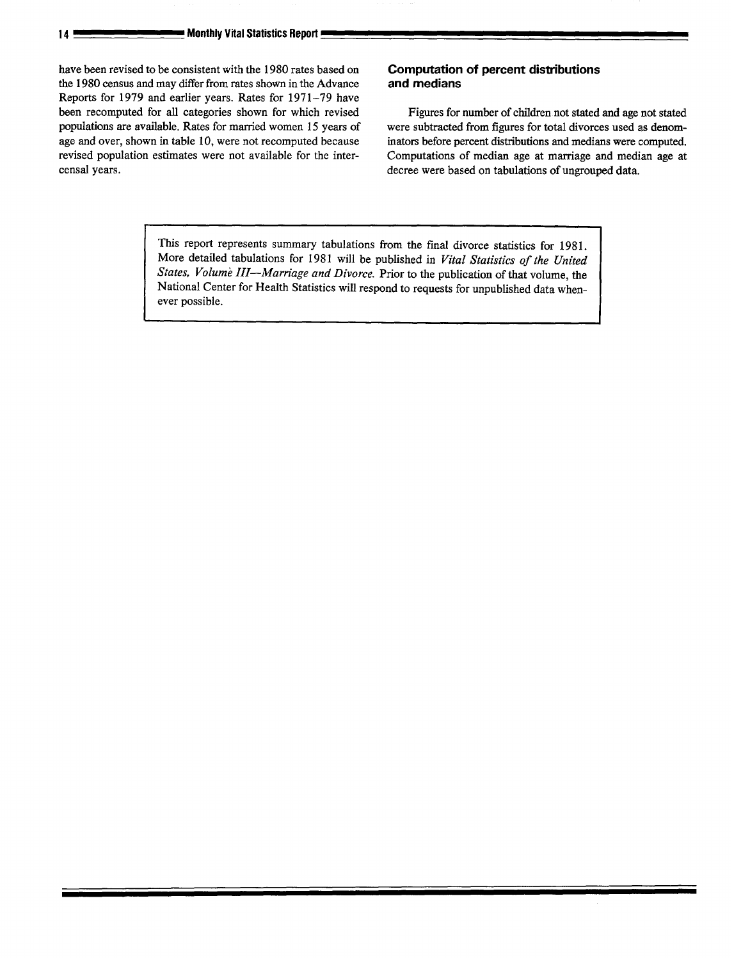have been revised to be consistent with the 1980 rates based on **Computation of percent distributions** the 1980 census and may differ from rates shown in the Advance Reports for 1979 and earlier years. Rates for 1971 –79 have been recomputed for all categories shown for which revised Figures for number of children not stated and age not stated populations are available. Rates for married women 15 years of were subtracted from figures for total divorces used as denomage and over, shown in table 10, were not recomputed because inators before percent distributions and medians were computed. revised population estimates were not available for the inter- Computations of median age at marriage and median age at censrd years. decree were based on tabulations of ungrouped data.

I

I

This report represents summary tabulations from the final divorce statistics for 1981. More detailed tabulations for 1981 will be published in *Vital Statistics of the United States, Volume 111—Marn"age and Divorce.* Prior to the publication of that volume, the National Center for Health Statistics will respond to requests for unpublished data whenever possible.